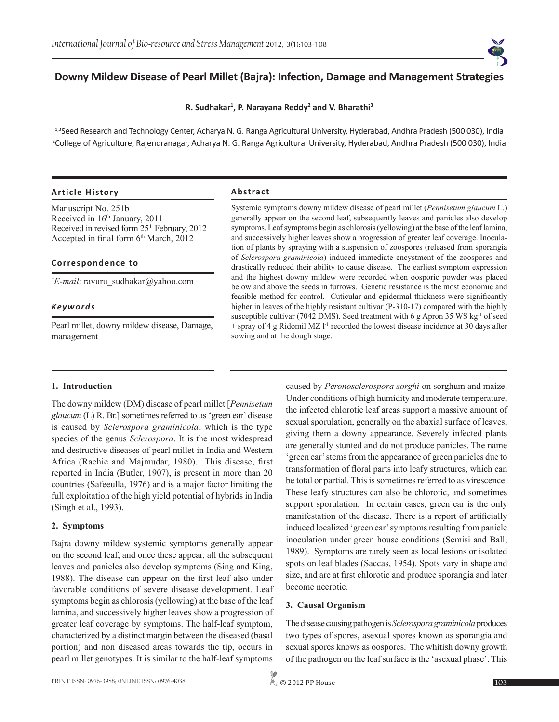

# **Downy Mildew Disease of Pearl Millet (Bajra): Infection, Damage and Management Strategies**

**R. Sudhakar<sup>1</sup> , P. Narayana Reddy<sup>2</sup> and V. Bharathi<sup>3</sup>**

1,3Seed Research and Technology Center, Acharya N. G. Ranga Agricultural University, Hyderabad, Andhra Pradesh (500 030), India 2 College of Agriculture, Rajendranagar, Acharya N. G. Ranga Agricultural University, Hyderabad, Andhra Pradesh (500 030), India

### **Article History Abstract**

Manuscript No. 251b Received in 16th January, 2011 Received in revised form 25<sup>th</sup> February, 2012 Accepted in final form 6<sup>th</sup> March, 2012

# **Correspondence to**

*\* E-mail*: ravuru\_sudhakar@yahoo.com

### *Keywords*

Pearl millet, downy mildew disease, Damage, management

Systemic symptoms downy mildew disease of pearl millet (*Pennisetum glaucum* L.) generally appear on the second leaf, subsequently leaves and panicles also develop symptoms. Leaf symptoms begin as chlorosis (yellowing) at the base of the leaf lamina, and successively higher leaves show a progression of greater leaf coverage. Inoculation of plants by spraying with a suspension of zoospores (released from sporangia of *Sclerospora graminicola*) induced immediate encystment of the zoospores and drastically reduced their ability to cause disease. The earliest symptom expression and the highest downy mildew were recorded when oosporic powder was placed below and above the seeds in furrows. Genetic resistance is the most economic and feasible method for control. Cuticular and epidermal thickness were significantly higher in leaves of the highly resistant cultivar (P-310-17) compared with the highly susceptible cultivar (7042 DMS). Seed treatment with 6 g Apron 35 WS kg<sup>-1</sup> of seed + spray of 4 g Ridomil MZ l-1 recorded the lowest disease incidence at 30 days after sowing and at the dough stage.

### **1. Introduction**

The downy mildew (DM) disease of pearl millet [*Pennisetum glaucum* (L) R. Br.] sometimes referred to as 'green ear' disease is caused by *Sclerospora graminicola*, which is the type species of the genus *Sclerospora*. It is the most widespread and destructive diseases of pearl millet in India and Western Africa (Rachie and Majmudar, 1980). This disease, first reported in India (Butler, 1907), is present in more than 20 countries (Safeeulla, 1976) and is a major factor limiting the full exploitation of the high yield potential of hybrids in India (Singh et al., 1993).

# **2. Symptoms**

Bajra downy mildew systemic symptoms generally appear on the second leaf, and once these appear, all the subsequent leaves and panicles also develop symptoms (Sing and King, 1988). The disease can appear on the first leaf also under favorable conditions of severe disease development. Leaf symptoms begin as chlorosis (yellowing) at the base of the leaf lamina, and successively higher leaves show a progression of greater leaf coverage by symptoms. The half-leaf symptom, characterized by a distinct margin between the diseased (basal portion) and non diseased areas towards the tip, occurs in pearl millet genotypes. It is similar to the half-leaf symptoms caused by *Peronosclerospora sorghi* on sorghum and maize. Under conditions of high humidity and moderate temperature, the infected chlorotic leaf areas support a massive amount of sexual sporulation, generally on the abaxial surface of leaves, giving them a downy appearance. Severely infected plants are generally stunted and do not produce panicles. The name 'green ear' stems from the appearance of green panicles due to transformation of floral parts into leafy structures, which can be total or partial. This is sometimes referred to as virescence. These leafy structures can also be chlorotic, and sometimes support sporulation. In certain cases, green ear is the only manifestation of the disease. There is a report of artificially induced localized 'green ear' symptoms resulting from panicle inoculation under green house conditions (Semisi and Ball, 1989). Symptoms are rarely seen as local lesions or isolated spots on leaf blades (Saccas, 1954). Spots vary in shape and size, and are at first chlorotic and produce sporangia and later become necrotic.

### **3. Causal Organism**

The disease causing pathogen is *Sclerospora graminicola* produces two types of spores, asexual spores known as sporangia and sexual spores knows as oospores. The whitish downy growth of the pathogen on the leaf surface is the 'asexual phase'. This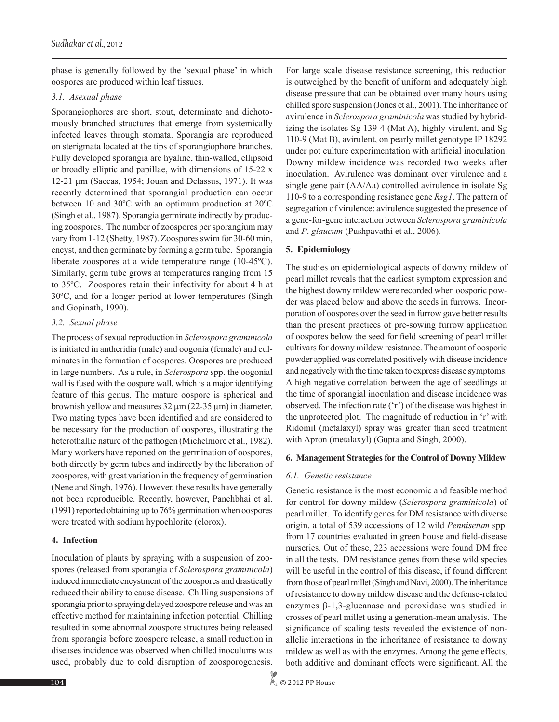phase is generally followed by the 'sexual phase' in which oospores are produced within leaf tissues.

#### *3.1. Asexual phase*

Sporangiophores are short, stout, determinate and dichotomously branched structures that emerge from systemically infected leaves through stomata. Sporangia are reproduced on sterigmata located at the tips of sporangiophore branches. Fully developed sporangia are hyaline, thin-walled, ellipsoid or broadly elliptic and papillae, with dimensions of 15-22 x 12-21 µm (Saccas, 1954; Jouan and Delassus, 1971). It was recently determined that sporangial production can occur between 10 and 30ºC with an optimum production at 20ºC (Singh et al., 1987). Sporangia germinate indirectly by producing zoospores. The number of zoospores per sporangium may vary from 1-12 (Shetty, 1987). Zoospores swim for 30-60 min, encyst, and then germinate by forming a germ tube. Sporangia liberate zoospores at a wide temperature range (10-45ºC). Similarly, germ tube grows at temperatures ranging from 15 to 35ºC. Zoospores retain their infectivity for about 4 h at 30ºC, and for a longer period at lower temperatures (Singh and Gopinath, 1990).

#### *3.2. Sexual phase*

The process of sexual reproduction in *Sclerospora graminicola* is initiated in antheridia (male) and oogonia (female) and culminates in the formation of oospores. Oospores are produced in large numbers. As a rule, in *Sclerospora* spp. the oogonial wall is fused with the oospore wall, which is a major identifying feature of this genus. The mature oospore is spherical and brownish yellow and measures  $32 \mu m (22-35 \mu m)$  in diameter. Two mating types have been identified and are considered to be necessary for the production of oospores, illustrating the heterothallic nature of the pathogen (Michelmore et al., 1982). Many workers have reported on the germination of oospores, both directly by germ tubes and indirectly by the liberation of zoospores, with great variation in the frequency of germination (Nene and Singh, 1976). However, these results have generally not been reproducible. Recently, however, Panchbhai et al. (1991) reported obtaining up to 76% germination when oospores were treated with sodium hypochlorite (clorox).

### **4. Infection**

Inoculation of plants by spraying with a suspension of zoospores (released from sporangia of *Sclerospora graminicola*) induced immediate encystment of the zoospores and drastically reduced their ability to cause disease. Chilling suspensions of sporangia prior to spraying delayed zoospore release and was an effective method for maintaining infection potential. Chilling resulted in some abnormal zoospore structures being released from sporangia before zoospore release, a small reduction in diseases incidence was observed when chilled inoculums was used, probably due to cold disruption of zoosporogenesis.

For large scale disease resistance screening, this reduction is outweighed by the benefit of uniform and adequately high disease pressure that can be obtained over many hours using chilled spore suspension (Jones et al., 2001). The inheritance of avirulence in *Sclerospora graminicola* was studied by hybridizing the isolates Sg 139-4 (Mat A), highly virulent, and Sg 110-9 (Mat B), avirulent, on pearly millet genotype IP 18292 under pot culture experimentation with artificial inoculation. Downy mildew incidence was recorded two weeks after inoculation. Avirulence was dominant over virulence and a single gene pair (AA/Aa) controlled avirulence in isolate Sg 110-9 to a corresponding resistance gene *Rsg1*. The pattern of segregation of virulence: avirulence suggested the presence of a gene-for-gene interaction between *Sclerospora graminicola* and *P*. *glaucum* (Pushpavathi et al., 2006)*.*

# **5. Epidemiology**

The studies on epidemiological aspects of downy mildew of pearl millet reveals that the earliest symptom expression and the highest downy mildew were recorded when oosporic powder was placed below and above the seeds in furrows. Incorporation of oospores over the seed in furrow gave better results than the present practices of pre-sowing furrow application of oospores below the seed for field screening of pearl millet cultivars for downy mildew resistance. The amount of oosporic powder applied was correlated positively with disease incidence and negatively with the time taken to express disease symptoms. A high negative correlation between the age of seedlings at the time of sporangial inoculation and disease incidence was observed. The infection rate ('r') of the disease was highest in the unprotected plot. The magnitude of reduction in 'r' with Ridomil (metalaxyl) spray was greater than seed treatment with Apron (metalaxyl) (Gupta and Singh, 2000).

### **6. Management Strategies for the Control of Downy Mildew**

### *6.1. Genetic resistance*

Genetic resistance is the most economic and feasible method for control for downy mildew (*Sclerospora graminicola*) of pearl millet. To identify genes for DM resistance with diverse origin, a total of 539 accessions of 12 wild *Pennisetum* spp. from 17 countries evaluated in green house and field-disease nurseries. Out of these, 223 accessions were found DM free in all the tests. DM resistance genes from these wild species will be useful in the control of this disease, if found different from those of pearl millet (Singh and Navi, 2000). The inheritance of resistance to downy mildew disease and the defense-related enzymes β-1,3-glucanase and peroxidase was studied in crosses of pearl millet using a generation-mean analysis. The significance of scaling tests revealed the existence of nonallelic interactions in the inheritance of resistance to downy mildew as well as with the enzymes. Among the gene effects, both additive and dominant effects were significant. All the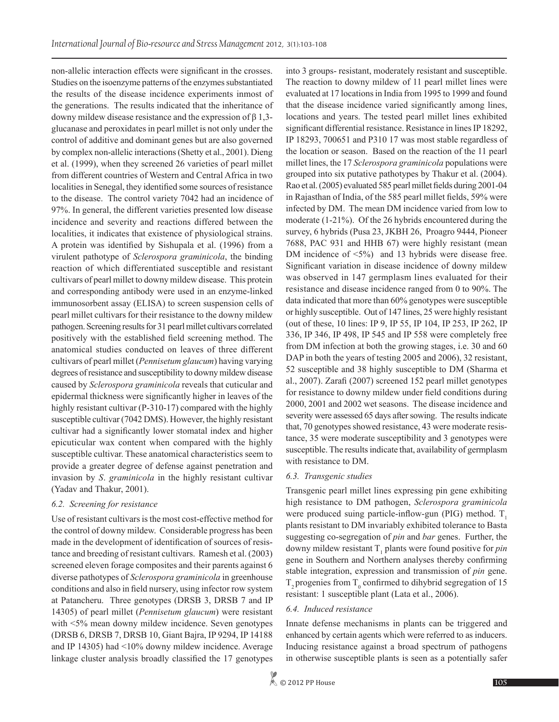non-allelic interaction effects were significant in the crosses. Studies on the isoenzyme patterns of the enzymes substantiated the results of the disease incidence experiments inmost of the generations. The results indicated that the inheritance of downy mildew disease resistance and the expression of β 1,3 glucanase and peroxidates in pearl millet is not only under the control of additive and dominant genes but are also governed by complex non-allelic interactions (Shetty et al., 2001). Dieng et al. (1999), when they screened 26 varieties of pearl millet from different countries of Western and Central Africa in two localities in Senegal, they identified some sources of resistance to the disease. The control variety 7042 had an incidence of 97%. In general, the different varieties presented low disease incidence and severity and reactions differed between the localities, it indicates that existence of physiological strains. A protein was identified by Sishupala et al. (1996) from a virulent pathotype of *Sclerospora graminicola*, the binding reaction of which differentiated susceptible and resistant cultivars of pearl millet to downy mildew disease. This protein and corresponding antibody were used in an enzyme-linked immunosorbent assay (ELISA) to screen suspension cells of pearl millet cultivars for their resistance to the downy mildew pathogen. Screening results for 31 pearl millet cultivars correlated positively with the established field screening method. The anatomical studies conducted on leaves of three different cultivars of pearl millet (*Pennisetum glaucum*) having varying degrees of resistance and susceptibility to downy mildew disease caused by *Sclerospora graminicola* reveals that cuticular and epidermal thickness were significantly higher in leaves of the highly resistant cultivar (P-310-17) compared with the highly susceptible cultivar (7042 DMS). However, the highly resistant cultivar had a significantly lower stomatal index and higher epicuticular wax content when compared with the highly susceptible cultivar. These anatomical characteristics seem to provide a greater degree of defense against penetration and invasion by *S*. *graminicola* in the highly resistant cultivar (Yadav and Thakur, 2001).

### *6.2. Screening for resistance*

Use of resistant cultivars is the most cost-effective method for the control of downy mildew. Considerable progress has been made in the development of identification of sources of resistance and breeding of resistant cultivars. Ramesh et al. (2003) screened eleven forage composites and their parents against 6 diverse pathotypes of *Sclerospora graminicola* in greenhouse conditions and also in field nursery, using infector row system at Patancheru. Three genotypes (DRSB 3, DRSB 7 and IP 14305) of pearl millet (*Pennisetum glaucum*) were resistant with  $\leq 5\%$  mean downy mildew incidence. Seven genotypes (DRSB 6, DRSB 7, DRSB 10, Giant Bajra, IP 9294, IP 14188 and IP 14305) had <10% downy mildew incidence. Average linkage cluster analysis broadly classified the 17 genotypes

into 3 groups- resistant, moderately resistant and susceptible. The reaction to downy mildew of 11 pearl millet lines were evaluated at 17 locations in India from 1995 to 1999 and found that the disease incidence varied significantly among lines, locations and years. The tested pearl millet lines exhibited significant differential resistance. Resistance in lines IP 18292, IP 18293, 700651 and P310 17 was most stable regardless of the location or season. Based on the reaction of the 11 pearl millet lines, the 17 *Sclerospora graminicola* populations were grouped into six putative pathotypes by Thakur et al. (2004). Rao et al. (2005) evaluated 585 pearl millet fields during 2001-04 in Rajasthan of India, of the 585 pearl millet fields, 59% were infected by DM. The mean DM incidence varied from low to moderate (1-21%). Of the 26 hybrids encountered during the survey, 6 hybrids (Pusa 23, JKBH 26, Proagro 9444, Pioneer 7688, PAC 931 and HHB 67) were highly resistant (mean DM incidence of  $\langle 5\% \rangle$  and 13 hybrids were disease free. Significant variation in disease incidence of downy mildew was observed in 147 germplasm lines evaluated for their resistance and disease incidence ranged from 0 to 90%. The data indicated that more than 60% genotypes were susceptible or highly susceptible. Out of 147 lines, 25 were highly resistant (out of these, 10 lines: IP 9, IP 55, IP 104, IP 253, IP 262, IP 336, IP 346, IP 498, IP 545 and IP 558 were completely free from DM infection at both the growing stages, i.e. 30 and 60 DAP in both the years of testing 2005 and 2006), 32 resistant, 52 susceptible and 38 highly susceptible to DM (Sharma et al., 2007). Zarafi (2007) screened 152 pearl millet genotypes for resistance to downy mildew under field conditions during 2000, 2001 and 2002 wet seasons. The disease incidence and severity were assessed 65 days after sowing. The results indicate that, 70 genotypes showed resistance, 43 were moderate resistance, 35 were moderate susceptibility and 3 genotypes were susceptible. The results indicate that, availability of germplasm with resistance to DM.

### *6.3. Transgenic studies*

Transgenic pearl millet lines expressing pin gene exhibiting high resistance to DM pathogen, *Sclerospora graminicola* were produced suing particle-inflow-gun (PIG) method.  $T_1$ plants resistant to DM invariably exhibited tolerance to Basta suggesting co-segregation of *pin* and *bar* genes. Further, the downy mildew resistant  $T_1$  plants were found positive for *pin* gene in Southern and Northern analyses thereby confirming stable integration, expression and transmission of *pin* gene.  $T_2$  progenies from  $T_0$  confirmed to dihybrid segregation of 15 resistant: 1 susceptible plant (Lata et al., 2006).

### *6.4. Induced resistance*

Innate defense mechanisms in plants can be triggered and enhanced by certain agents which were referred to as inducers. Inducing resistance against a broad spectrum of pathogens in otherwise susceptible plants is seen as a potentially safer

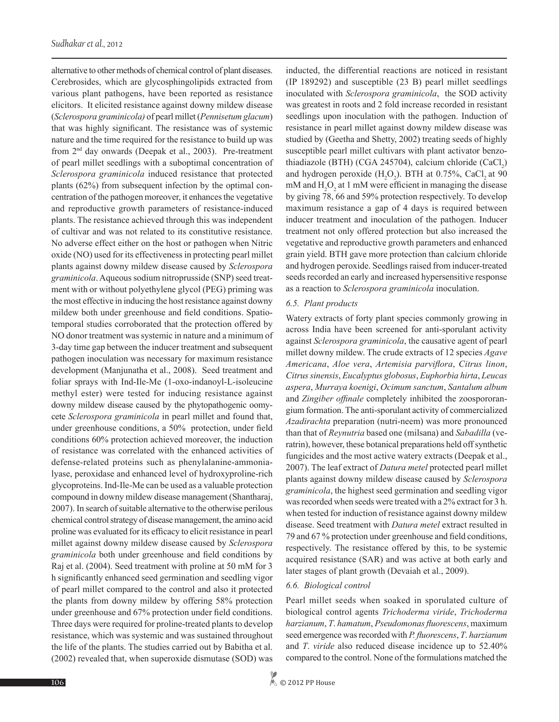alternative to other methods of chemical control of plant diseases. Cerebrosides, which are glycosphingolipids extracted from various plant pathogens, have been reported as resistance elicitors. It elicited resistance against downy mildew disease (*Sclerospora graminicola)* of pearl millet (*Pennisetum glacum*) that was highly significant. The resistance was of systemic nature and the time required for the resistance to build up was from 2nd day onwards (Deepak et al., 2003). Pre-treatment of pearl millet seedlings with a suboptimal concentration of *Sclerospora graminicola* induced resistance that protected plants (62%) from subsequent infection by the optimal concentration of the pathogen moreover, it enhances the vegetative and reproductive growth parameters of resistance-induced plants. The resistance achieved through this was independent of cultivar and was not related to its constitutive resistance. No adverse effect either on the host or pathogen when Nitric oxide (NO) used for its effectiveness in protecting pearl millet plants against downy mildew disease caused by *Sclerospora graminicola*. Aqueous sodium nitroprusside (SNP) seed treatment with or without polyethylene glycol (PEG) priming was the most effective in inducing the host resistance against downy mildew both under greenhouse and field conditions. Spatiotemporal studies corroborated that the protection offered by NO donor treatment was systemic in nature and a minimum of 3-day time gap between the inducer treatment and subsequent pathogen inoculation was necessary for maximum resistance development (Manjunatha et al., 2008). Seed treatment and foliar sprays with Ind-Ile-Me (1-oxo-indanoyl-L-isoleucine methyl ester) were tested for inducing resistance against downy mildew disease caused by the phytopathogenic oomycete *Sclerospora graminicola* in pearl millet and found that, under greenhouse conditions, a 50% protection, under field conditions 60% protection achieved moreover, the induction of resistance was correlated with the enhanced activities of defense-related proteins such as phenylalanine-ammonialyase, peroxidase and enhanced level of hydroxyproline-rich glycoproteins. Ind-Ile-Me can be used as a valuable protection compound in downy mildew disease management (Shantharaj, 2007). In search of suitable alternative to the otherwise perilous chemical control strategy of disease management, the amino acid proline was evaluated for its efficacy to elicit resistance in pearl millet against downy mildew disease caused by *Sclerospora graminicola* both under greenhouse and field conditions by Raj et al. (2004). Seed treatment with proline at 50 mM for 3 h significantly enhanced seed germination and seedling vigor of pearl millet compared to the control and also it protected the plants from downy mildew by offering 58% protection under greenhouse and 67% protection under field conditions. Three days were required for proline-treated plants to develop resistance, which was systemic and was sustained throughout the life of the plants. The studies carried out by Babitha et al. (2002) revealed that, when superoxide dismutase (SOD) was

inducted, the differential reactions are noticed in resistant (IP 189292) and susceptible (23 B) pearl millet seedlings inoculated with *Sclerospora graminicola*, the SOD activity was greatest in roots and 2 fold increase recorded in resistant seedlings upon inoculation with the pathogen. Induction of resistance in pearl millet against downy mildew disease was studied by (Geetha and Shetty, 2002) treating seeds of highly susceptible pearl millet cultivars with plant activator benzothiadiazole (BTH) (CGA 245704), calcium chloride  $(CaCl_2)$ and hydrogen peroxide  $(H_2O_2)$ . BTH at 0.75%, CaCl<sub>2</sub> at 90 mM and  $H_2O_2$  at 1 mM were efficient in managing the disease by giving 78, 66 and 59% protection respectively. To develop maximum resistance a gap of 4 days is required between inducer treatment and inoculation of the pathogen. Inducer treatment not only offered protection but also increased the vegetative and reproductive growth parameters and enhanced grain yield. BTH gave more protection than calcium chloride and hydrogen peroxide. Seedlings raised from inducer-treated seeds recorded an early and increased hypersensitive response as a reaction to *Sclerospora graminicola* inoculation.

#### *6.5. Plant products*

Watery extracts of forty plant species commonly growing in across India have been screened for anti-sporulant activity against *Sclerospora graminicola*, the causative agent of pearl millet downy mildew. The crude extracts of 12 species *Agave Americana*, *Aloe vera*, *Artemisia parviflora*, *Citrus linon*, *Citrus sinensis*, *Eucalyptus globosus*, *Euphorbia hirta*, *Leucas aspera*, *Murraya koenigi*, *Ocimum sanctum*, *Santalum album*  and *Zingiber offinale* completely inhibited the zoospororangium formation. The anti-sporulant activity of commercialized *Azadirachta* preparation (nutri-neem) was more pronounced than that of *Reynutria* based one (milsana) and *Sabadilla* (veratrin), however, these botanical preparations held off synthetic fungicides and the most active watery extracts (Deepak et al., 2007). The leaf extract of *Datura metel* protected pearl millet plants against downy mildew disease caused by *Sclerospora graminicola*, the highest seed germination and seedling vigor was recorded when seeds were treated with a 2% extract for 3 h. when tested for induction of resistance against downy mildew disease. Seed treatment with *Datura metel* extract resulted in 79 and 67 % protection under greenhouse and field conditions, respectively. The resistance offered by this, to be systemic acquired resistance (SAR) and was active at both early and later stages of plant growth (Devaiah et al., 2009).

#### *6.6. Biological control*

Pearl millet seeds when soaked in sporulated culture of biological control agents *Trichoderma viride*, *Trichoderma harzianum*, *T*. *hamatum*, *Pseudomonas fluorescens*, maximum seed emergence was recorded with *P. fluorescens*, *T*. *harzianum*  and *T*. *viride* also reduced disease incidence up to 52.40% compared to the control. None of the formulations matched the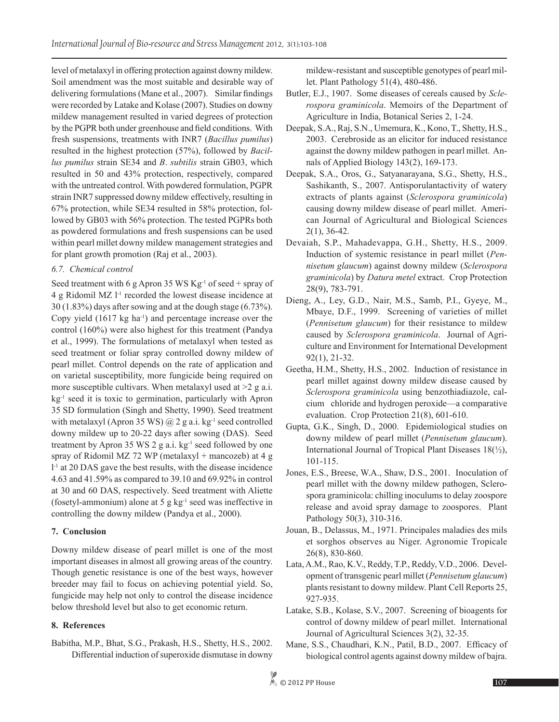level of metalaxyl in offering protection against downy mildew. Soil amendment was the most suitable and desirable way of delivering formulations (Mane et al., 2007). Similar findings were recorded by Latake and Kolase (2007). Studies on downy mildew management resulted in varied degrees of protection by the PGPR both under greenhouse and field conditions. With fresh suspensions, treatments with INR7 (*Bacillus pumilus*) resulted in the highest protection (57%), followed by *Bacillus pumilus* strain SE34 and *B*. *subtilis* strain GB03, which resulted in 50 and 43% protection, respectively, compared with the untreated control. With powdered formulation, PGPR strain INR7 suppressed downy mildew effectively, resulting in 67% protection, while SE34 resulted in 58% protection, followed by GB03 with 56% protection. The tested PGPRs both as powdered formulations and fresh suspensions can be used within pearl millet downy mildew management strategies and for plant growth promotion (Raj et al., 2003).

# *6.7. Chemical control*

Seed treatment with 6 g Apron 35 WS  $Kg^{-1}$  of seed + spray of 4 g Ridomil MZ  $1<sup>-1</sup>$  recorded the lowest disease incidence at 30 (1.83%) days after sowing and at the dough stage (6.73%). Copy yield  $(1617 \text{ kg ha}^{-1})$  and percentage increase over the control (160%) were also highest for this treatment (Pandya et al., 1999). The formulations of metalaxyl when tested as seed treatment or foliar spray controlled downy mildew of pearl millet. Control depends on the rate of application and on varietal susceptibility, more fungicide being required on more susceptible cultivars. When metalaxyl used at  $\geq 2$  g a.i. kg-1 seed it is toxic to germination, particularly with Apron 35 SD formulation (Singh and Shetty, 1990). Seed treatment with metalaxyl (Apron 35 WS)  $\omega$  2 g a.i. kg<sup>-1</sup> seed controlled downy mildew up to 20-22 days after sowing (DAS). Seed treatment by Apron 35 WS 2 g a.i.  $kg^{-1}$  seed followed by one spray of Ridomil MZ 72 WP (metalaxyl + mancozeb) at 4 g l -1 at 20 DAS gave the best results, with the disease incidence 4.63 and 41.59% as compared to 39.10 and 69.92% in control at 30 and 60 DAS, respectively. Seed treatment with Aliette (fosetyl-ammonium) alone at 5 g  $kg^{-1}$  seed was ineffective in controlling the downy mildew (Pandya et al., 2000).

# **7. Conclusion**

Downy mildew disease of pearl millet is one of the most important diseases in almost all growing areas of the country. Though genetic resistance is one of the best ways, however breeder may fail to focus on achieving potential yield. So, fungicide may help not only to control the disease incidence below threshold level but also to get economic return.

# **8. References**

Babitha, M.P., Bhat, S.G., Prakash, H.S., Shetty, H.S., 2002. Differential induction of superoxide dismutase in downy mildew-resistant and susceptible genotypes of pearl millet. Plant Pathology 51(4), 480-486.

- Butler, E.J., 1907. Some diseases of cereals caused by *Sclerospora graminicola*. Memoirs of the Department of Agriculture in India, Botanical Series 2, 1-24.
- Deepak, S.A., Raj, S.N., Umemura, K., Kono, T., Shetty, H.S., 2003. Cerebroside as an elicitor for induced resistance against the downy mildew pathogen in pearl millet. Annals of Applied Biology 143(2), 169-173.
- Deepak, S.A., Oros, G., Satyanarayana, S.G., Shetty, H.S., Sashikanth, S., 2007. Antisporulantactivity of watery extracts of plants against (*Sclerospora graminicola*) causing downy mildew disease of pearl millet. American Journal of Agricultural and Biological Sciences 2(1), 36-42.
- Devaiah, S.P., Mahadevappa, G.H., Shetty, H.S., 2009. Induction of systemic resistance in pearl millet (*Pennisetum glaucum*) against downy mildew (*Sclerospora graminicola*) by *Datura metel* extract. Crop Protection 28(9), 783-791.
- Dieng, A., Ley, G.D., Nair, M.S., Samb, P.I., Gyeye, M., Mbaye, D.F., 1999. Screening of varieties of millet (*Pennisetum glaucum*) for their resistance to mildew caused by *Sclerospora graminicola*. Journal of Agriculture and Environment for International Development 92(1), 21-32.
- Geetha, H.M., Shetty, H.S., 2002. Induction of resistance in pearl millet against downy mildew disease caused by *Sclerospora graminicola* using benzothiadiazole, calcium chloride and hydrogen peroxide—a comparative evaluation. Crop Protection 21(8), 601-610.
- Gupta, G.K., Singh, D., 2000. Epidemiological studies on downy mildew of pearl millet (*Pennisetum glaucum*). International Journal of Tropical Plant Diseases 18(½), 101-115.
- Jones, E.S., Breese, W.A., Shaw, D.S., 2001. Inoculation of pearl millet with the downy mildew pathogen, Sclerospora graminicola: chilling inoculums to delay zoospore release and avoid spray damage to zoospores. Plant Pathology 50(3), 310-316.
- Jouan, B., Delassus, M., 1971. Principales maladies des mils et sorghos observes au Niger. Agronomie Tropicale 26(8), 830-860.
- Lata, A.M., Rao, K.V., Reddy, T.P., Reddy, V.D., 2006. Development of transgenic pearl millet (*Pennisetum glaucum*) plants resistant to downy mildew. Plant Cell Reports 25, 927-935.
- Latake, S.B., Kolase, S.V., 2007. Screening of bioagents for control of downy mildew of pearl millet. International Journal of Agricultural Sciences 3(2), 32-35.
- Mane, S.S., Chaudhari, K.N., Patil, B.D., 2007. Efficacy of biological control agents against downy mildew of bajra.